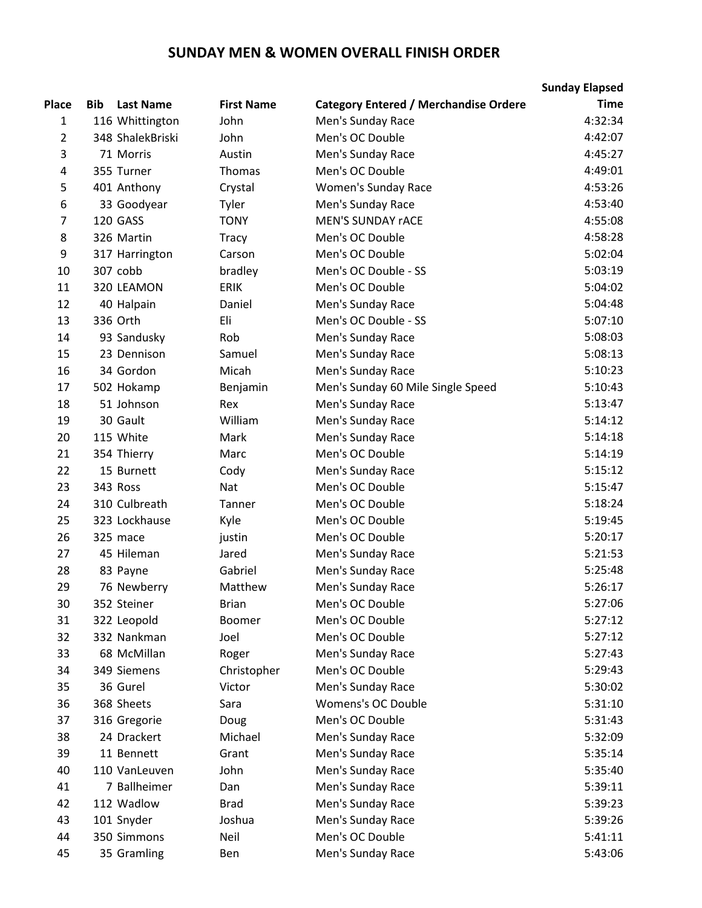## **SUNDAY MEN & WOMEN OVERALL FINISH ORDER**

|       |            |                  |                   |                                              | <b>Sunday Elapsed</b> |
|-------|------------|------------------|-------------------|----------------------------------------------|-----------------------|
| Place | <b>Bib</b> | <b>Last Name</b> | <b>First Name</b> | <b>Category Entered / Merchandise Ordere</b> | <b>Time</b>           |
| 1     |            | 116 Whittington  | John              | Men's Sunday Race                            | 4:32:34               |
| 2     |            | 348 ShalekBriski | John              | Men's OC Double                              | 4:42:07               |
| 3     |            | 71 Morris        | Austin            | Men's Sunday Race                            | 4:45:27               |
| 4     |            | 355 Turner       | <b>Thomas</b>     | Men's OC Double                              | 4:49:01               |
| 5     |            | 401 Anthony      | Crystal           | <b>Women's Sunday Race</b>                   | 4:53:26               |
| 6     |            | 33 Goodyear      | Tyler             | Men's Sunday Race                            | 4:53:40               |
| 7     |            | 120 GASS         | <b>TONY</b>       | <b>MEN'S SUNDAY rACE</b>                     | 4:55:08               |
| 8     |            | 326 Martin       | <b>Tracy</b>      | Men's OC Double                              | 4:58:28               |
| 9     |            | 317 Harrington   | Carson            | Men's OC Double                              | 5:02:04               |
| 10    |            | 307 cobb         | bradley           | Men's OC Double - SS                         | 5:03:19               |
| 11    |            | 320 LEAMON       | <b>ERIK</b>       | Men's OC Double                              | 5:04:02               |
| 12    |            | 40 Halpain       | Daniel            | Men's Sunday Race                            | 5:04:48               |
| 13    |            | 336 Orth         | Eli               | Men's OC Double - SS                         | 5:07:10               |
| 14    |            | 93 Sandusky      | Rob               | Men's Sunday Race                            | 5:08:03               |
| 15    |            | 23 Dennison      | Samuel            | Men's Sunday Race                            | 5:08:13               |
| 16    |            | 34 Gordon        | Micah             | Men's Sunday Race                            | 5:10:23               |
| 17    |            | 502 Hokamp       | Benjamin          | Men's Sunday 60 Mile Single Speed            | 5:10:43               |
| 18    |            | 51 Johnson       | Rex               | Men's Sunday Race                            | 5:13:47               |
| 19    |            | 30 Gault         | William           | Men's Sunday Race                            | 5:14:12               |
| 20    |            | 115 White        | Mark              | Men's Sunday Race                            | 5:14:18               |
| 21    |            | 354 Thierry      | Marc              | Men's OC Double                              | 5:14:19               |
| 22    |            | 15 Burnett       | Cody              | Men's Sunday Race                            | 5:15:12               |
| 23    |            | 343 Ross         | Nat               | Men's OC Double                              | 5:15:47               |
| 24    |            | 310 Culbreath    | Tanner            | Men's OC Double                              | 5:18:24               |
| 25    |            | 323 Lockhause    | Kyle              | Men's OC Double                              | 5:19:45               |
| 26    |            | 325 mace         | justin            | Men's OC Double                              | 5:20:17               |
| 27    |            | 45 Hileman       | Jared             | Men's Sunday Race                            | 5:21:53               |
| 28    |            | 83 Payne         | Gabriel           | Men's Sunday Race                            | 5:25:48               |
| 29    |            | 76 Newberry      | Matthew           | Men's Sunday Race                            | 5:26:17               |
| 30    |            | 352 Steiner      | <b>Brian</b>      | Men's OC Double                              | 5:27:06               |
| 31    |            | 322 Leopold      | Boomer            | Men's OC Double                              | 5:27:12               |
| 32    |            | 332 Nankman      | Joel              | Men's OC Double                              | 5:27:12               |
| 33    |            | 68 McMillan      | Roger             | Men's Sunday Race                            | 5:27:43               |
| 34    |            | 349 Siemens      | Christopher       | Men's OC Double                              | 5:29:43               |
| 35    |            | 36 Gurel         | Victor            | Men's Sunday Race                            | 5:30:02               |
| 36    |            | 368 Sheets       | Sara              | <b>Womens's OC Double</b>                    | 5:31:10               |
| 37    |            | 316 Gregorie     | Doug              | Men's OC Double                              | 5:31:43               |
| 38    |            | 24 Drackert      | Michael           | Men's Sunday Race                            | 5:32:09               |
| 39    |            | 11 Bennett       | Grant             | Men's Sunday Race                            | 5:35:14               |
| 40    |            | 110 VanLeuven    | John              | Men's Sunday Race                            | 5:35:40               |
| 41    |            | 7 Ballheimer     | Dan               | Men's Sunday Race                            | 5:39:11               |
| 42    |            | 112 Wadlow       | <b>Brad</b>       | Men's Sunday Race                            | 5:39:23               |
| 43    |            | 101 Snyder       | Joshua            | Men's Sunday Race                            | 5:39:26               |
| 44    |            | 350 Simmons      | Neil              | Men's OC Double                              | 5:41:11               |
| 45    |            | 35 Gramling      | Ben               | Men's Sunday Race                            | 5:43:06               |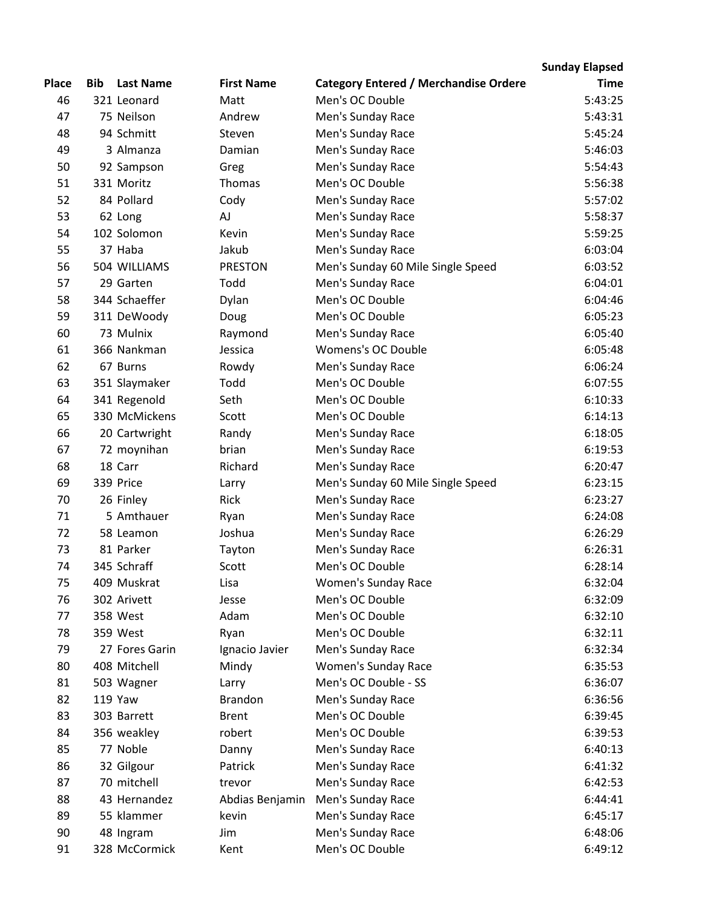## **Place Bib Last Name First Name Category Entered / Merchandise Ordered Sunday Elapsed Time** 321 Leonard Matt Men's OC Double 5:43:25 75 Neilson Andrew Men's Sunday Race 5:43:31 94 Schmitt Steven Men's Sunday Race 5:45:24 3 Almanza Damian Men's Sunday Race 5:46:03 92 Sampson Greg Men's Sunday Race 5:54:43 331 Moritz Thomas Men's OC Double 5:56:38 84 Pollard Cody Men's Sunday Race 5:57:02 62 Long AJ Men's Sunday Race 5:58:37 102 Solomon Kevin Men's Sunday Race 5:59:25 37 Haba Jakub Men's Sunday Race 6:03:04 504 WILLIAMS PRESTON Men's Sunday 60 Mile Single Speed 6:03:52 29 Garten Todd Men's Sunday Race 6:04:01 344 Schaeffer Dylan Men's OC Double 6:04:46 311 DeWoody Doug Men's OC Double 6:05:23 73 Mulnix Raymond Men's Sunday Race 6:05:40 366 Nankman Jessica Womens's OC Double 6:05:48 67 Burns Rowdy Men's Sunday Race 6:06:24 351 Slaymaker Todd Men's OC Double 6:07:55 341 Regenold Seth Men's OC Double 6:10:33 330 McMickens Scott Men's OC Double 6:14:13 20 Cartwright Randy Men's Sunday Race 6:18:05 72 moynihan brian Men's Sunday Race 6:19:53 18 Carr Richard Men's Sunday Race 6:20:47 339 Price Larry Men's Sunday 60 Mile Single Speed 6:23:15 26 Finley Rick Men's Sunday Race 6:23:27 5 Amthauer Ryan Men's Sunday Race 6:24:08 58 Leamon Joshua Men's Sunday Race 6:26:29 81 Parker Tayton Men's Sunday Race 6:26:31 345 Schraff Scott Men's OC Double 6:28:14 409 Muskrat Lisa Women's Sunday Race 6:32:04 302 Arivett Jesse Men's OC Double 6:32:09 358 West Adam Men's OC Double 6:32:10 78 359 West Ryan Ryan Men's OC Double 6:32:11 27 Fores Garin Ignacio Javier Men's Sunday Race 6:32:34 408 Mitchell Mindy Women's Sunday Race 6:35:53 503 Wagner Larry Men's OC Double - SS 6:36:07 119 Yaw Brandon Men's Sunday Race 6:36:56 83 303 Barrett Brent Men's OC Double 6:39:45 84 356 weakley robert Men's OC Double 6:39:53 77 Noble Danny Men's Sunday Race 6:40:13 32 Gilgour Patrick Men's Sunday Race 6:41:32 70 mitchell trevor Men's Sunday Race 6:42:53 43 Hernandez Abdias Benjamin Men's Sunday Race 6:44:41 55 klammer kevin Men's Sunday Race 6:45:17 48 Ingram Jim Men's Sunday Race 6:48:06 328 McCormick Kent Men's OC Double 6:49:12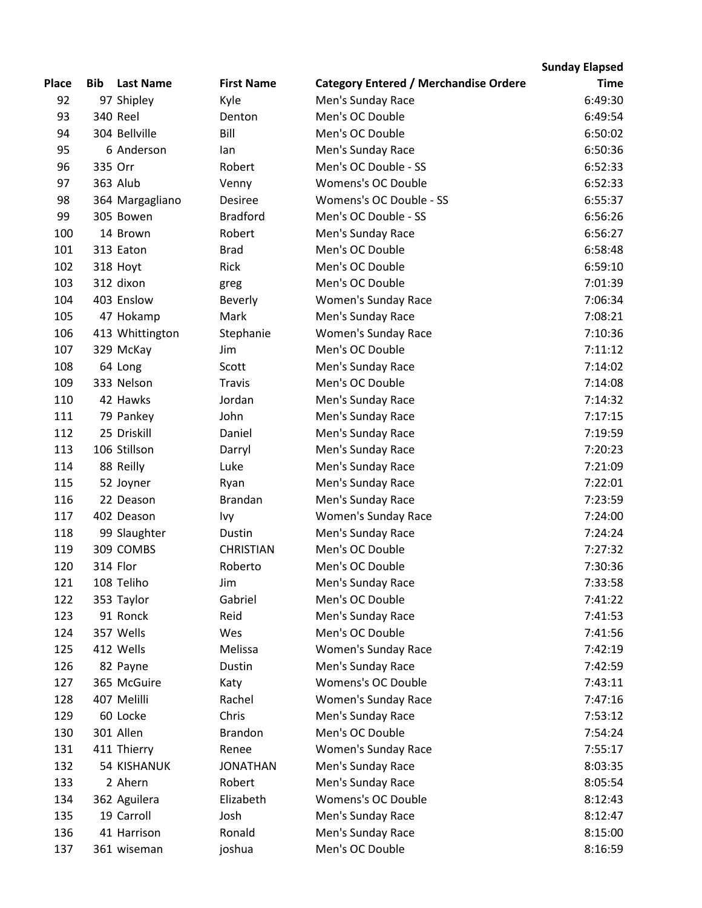## **Sunday Elapsed**

| <b>Place</b> | Bib     | <b>Last Name</b>   | <b>First Name</b> | <b>Category Entered / Merchandise Ordere</b> | <b>Time</b> |
|--------------|---------|--------------------|-------------------|----------------------------------------------|-------------|
| 92           |         | 97 Shipley         | Kyle              | Men's Sunday Race                            | 6:49:30     |
| 93           |         | 340 Reel           | Denton            | Men's OC Double                              | 6:49:54     |
| 94           |         | 304 Bellville      | Bill              | Men's OC Double                              | 6:50:02     |
| 95           |         | 6 Anderson         | lan               | Men's Sunday Race                            | 6:50:36     |
| 96           | 335 Orr |                    | Robert            | Men's OC Double - SS                         | 6:52:33     |
| 97           |         | 363 Alub           | Venny             | Womens's OC Double                           | 6:52:33     |
| 98           |         | 364 Margagliano    | Desiree           | Womens's OC Double - SS                      | 6:55:37     |
| 99           |         | 305 Bowen          | <b>Bradford</b>   | Men's OC Double - SS                         | 6:56:26     |
| 100          |         | 14 Brown           | Robert            | Men's Sunday Race                            | 6:56:27     |
| 101          |         | 313 Eaton          | <b>Brad</b>       | Men's OC Double                              | 6:58:48     |
| 102          |         | 318 Hoyt           | Rick              | Men's OC Double                              | 6:59:10     |
| 103          |         | 312 dixon          | greg              | Men's OC Double                              | 7:01:39     |
| 104          |         | 403 Enslow         | <b>Beverly</b>    | Women's Sunday Race                          | 7:06:34     |
| 105          |         | 47 Hokamp          | Mark              | Men's Sunday Race                            | 7:08:21     |
| 106          |         | 413 Whittington    | Stephanie         | <b>Women's Sunday Race</b>                   | 7:10:36     |
| 107          |         | 329 McKay          | Jim               | Men's OC Double                              | 7:11:12     |
| 108          |         | 64 Long            | Scott             | Men's Sunday Race                            | 7:14:02     |
| 109          |         | 333 Nelson         | <b>Travis</b>     | Men's OC Double                              | 7:14:08     |
| 110          |         | 42 Hawks           | Jordan            | Men's Sunday Race                            | 7:14:32     |
| 111          |         | 79 Pankey          | John              | Men's Sunday Race                            | 7:17:15     |
| 112          |         | 25 Driskill        | Daniel            | Men's Sunday Race                            | 7:19:59     |
| 113          |         | 106 Stillson       | Darryl            | Men's Sunday Race                            | 7:20:23     |
| 114          |         | 88 Reilly          | Luke              | Men's Sunday Race                            | 7:21:09     |
| 115          |         | 52 Joyner          | Ryan              | Men's Sunday Race                            | 7:22:01     |
| 116          |         | 22 Deason          | <b>Brandan</b>    | Men's Sunday Race                            | 7:23:59     |
| 117          |         | 402 Deason         | Ivy               | Women's Sunday Race                          | 7:24:00     |
| 118          |         | 99 Slaughter       | Dustin            | Men's Sunday Race                            | 7:24:24     |
| 119          |         | 309 COMBS          | <b>CHRISTIAN</b>  | Men's OC Double                              | 7:27:32     |
| 120          |         | 314 Flor           | Roberto           | Men's OC Double                              | 7:30:36     |
| 121          |         | 108 Teliho         | Jim               | Men's Sunday Race                            | 7:33:58     |
| 122          |         | 353 Taylor         | Gabriel           | Men's OC Double                              | 7:41:22     |
| 123          |         | 91 Ronck           | Reid              | Men's Sunday Race                            | 7:41:53     |
| 124          |         | 357 Wells          | Wes               | Men's OC Double                              | 7:41:56     |
| 125          |         | 412 Wells          | Melissa           | <b>Women's Sunday Race</b>                   | 7:42:19     |
| 126          |         | 82 Payne           | Dustin            | Men's Sunday Race                            | 7:42:59     |
| 127          |         | 365 McGuire        | Katy              | <b>Womens's OC Double</b>                    | 7:43:11     |
| 128          |         | 407 Melilli        | Rachel            | <b>Women's Sunday Race</b>                   | 7:47:16     |
| 129          |         | 60 Locke           | Chris             | Men's Sunday Race                            | 7:53:12     |
| 130          |         | 301 Allen          | <b>Brandon</b>    | Men's OC Double                              | 7:54:24     |
| 131          |         | 411 Thierry        | Renee             | <b>Women's Sunday Race</b>                   | 7:55:17     |
| 132          |         | <b>54 KISHANUK</b> | <b>JONATHAN</b>   | Men's Sunday Race                            | 8:03:35     |
| 133          |         | 2 Ahern            | Robert            | Men's Sunday Race                            | 8:05:54     |
| 134          |         | 362 Aguilera       | Elizabeth         | Womens's OC Double                           | 8:12:43     |
| 135          |         | 19 Carroll         | Josh              | Men's Sunday Race                            | 8:12:47     |
| 136          |         | 41 Harrison        | Ronald            | Men's Sunday Race                            | 8:15:00     |
| 137          |         | 361 wiseman        | joshua            | Men's OC Double                              | 8:16:59     |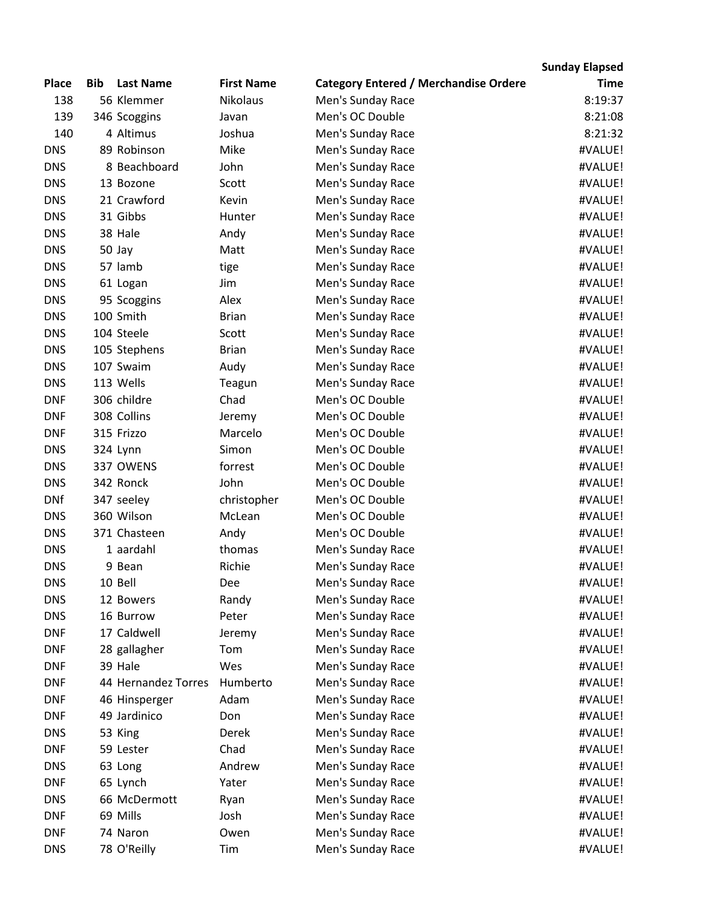## **Sunday Elapsed**

| <b>Place</b> | <b>Bib</b> | <b>Last Name</b>    | <b>First Name</b> | <b>Category Entered / Merchandise Ordere</b> | <b>Time</b> |
|--------------|------------|---------------------|-------------------|----------------------------------------------|-------------|
| 138          |            | 56 Klemmer          | <b>Nikolaus</b>   | Men's Sunday Race                            | 8:19:37     |
| 139          |            | 346 Scoggins        | Javan             | Men's OC Double                              | 8:21:08     |
| 140          |            | 4 Altimus           | Joshua            | Men's Sunday Race                            | 8:21:32     |
| <b>DNS</b>   |            | 89 Robinson         | Mike              | Men's Sunday Race                            | #VALUE!     |
| <b>DNS</b>   |            | 8 Beachboard        | John              | Men's Sunday Race                            | #VALUE!     |
| <b>DNS</b>   |            | 13 Bozone           | Scott             | Men's Sunday Race                            | #VALUE!     |
| <b>DNS</b>   |            | 21 Crawford         | Kevin             | Men's Sunday Race                            | #VALUE!     |
| <b>DNS</b>   |            | 31 Gibbs            | Hunter            | Men's Sunday Race                            | #VALUE!     |
| <b>DNS</b>   |            | 38 Hale             | Andy              | Men's Sunday Race                            | #VALUE!     |
| <b>DNS</b>   |            | 50 Jay              | Matt              | Men's Sunday Race                            | #VALUE!     |
| <b>DNS</b>   |            | 57 lamb             | tige              | Men's Sunday Race                            | #VALUE!     |
| <b>DNS</b>   |            | 61 Logan            | Jim               | Men's Sunday Race                            | #VALUE!     |
| <b>DNS</b>   |            | 95 Scoggins         | Alex              | Men's Sunday Race                            | #VALUE!     |
| <b>DNS</b>   |            | 100 Smith           | <b>Brian</b>      | Men's Sunday Race                            | #VALUE!     |
| <b>DNS</b>   |            | 104 Steele          | Scott             | Men's Sunday Race                            | #VALUE!     |
| <b>DNS</b>   |            | 105 Stephens        | <b>Brian</b>      | Men's Sunday Race                            | #VALUE!     |
| <b>DNS</b>   |            | 107 Swaim           | Audy              | Men's Sunday Race                            | #VALUE!     |
| <b>DNS</b>   |            | 113 Wells           | Teagun            | Men's Sunday Race                            | #VALUE!     |
| <b>DNF</b>   |            | 306 childre         | Chad              | Men's OC Double                              | #VALUE!     |
| <b>DNF</b>   |            | 308 Collins         | Jeremy            | Men's OC Double                              | #VALUE!     |
| <b>DNF</b>   |            | 315 Frizzo          | Marcelo           | Men's OC Double                              | #VALUE!     |
| <b>DNS</b>   |            | 324 Lynn            | Simon             | Men's OC Double                              | #VALUE!     |
| <b>DNS</b>   |            | 337 OWENS           | forrest           | Men's OC Double                              | #VALUE!     |
| <b>DNS</b>   |            | 342 Ronck           | John              | Men's OC Double                              | #VALUE!     |
| <b>DNf</b>   |            | 347 seeley          | christopher       | Men's OC Double                              | #VALUE!     |
| <b>DNS</b>   |            | 360 Wilson          | McLean            | Men's OC Double                              | #VALUE!     |
| <b>DNS</b>   |            | 371 Chasteen        | Andy              | Men's OC Double                              | #VALUE!     |
| <b>DNS</b>   |            | 1 aardahl           | thomas            | Men's Sunday Race                            | #VALUE!     |
| <b>DNS</b>   |            | 9 Bean              | Richie            | Men's Sunday Race                            | #VALUE!     |
| <b>DNS</b>   |            | 10 Bell             | Dee               | Men's Sunday Race                            | #VALUE!     |
| <b>DNS</b>   |            | 12 Bowers           | Randy             | Men's Sunday Race                            | #VALUE!     |
| <b>DNS</b>   |            | 16 Burrow           | Peter             | Men's Sunday Race                            | #VALUE!     |
| <b>DNF</b>   |            | 17 Caldwell         | Jeremy            | Men's Sunday Race                            | #VALUE!     |
| <b>DNF</b>   |            | 28 gallagher        | Tom               | Men's Sunday Race                            | #VALUE!     |
| <b>DNF</b>   |            | 39 Hale             | Wes               | Men's Sunday Race                            | #VALUE!     |
| <b>DNF</b>   |            | 44 Hernandez Torres | Humberto          | Men's Sunday Race                            | #VALUE!     |
| <b>DNF</b>   |            | 46 Hinsperger       | Adam              | Men's Sunday Race                            | #VALUE!     |
| <b>DNF</b>   |            | 49 Jardinico        | Don               | Men's Sunday Race                            | #VALUE!     |
| <b>DNS</b>   |            | 53 King             | Derek             | Men's Sunday Race                            | #VALUE!     |
| <b>DNF</b>   |            | 59 Lester           | Chad              | Men's Sunday Race                            | #VALUE!     |
| <b>DNS</b>   |            | 63 Long             | Andrew            | Men's Sunday Race                            | #VALUE!     |
| <b>DNF</b>   |            | 65 Lynch            | Yater             | Men's Sunday Race                            | #VALUE!     |
| <b>DNS</b>   |            | 66 McDermott        | Ryan              | Men's Sunday Race                            | #VALUE!     |
| <b>DNF</b>   |            | 69 Mills            | Josh              | Men's Sunday Race                            | #VALUE!     |
| <b>DNF</b>   |            | 74 Naron            | Owen              | Men's Sunday Race                            | #VALUE!     |
| <b>DNS</b>   |            | 78 O'Reilly         | Tim               | Men's Sunday Race                            | #VALUE!     |